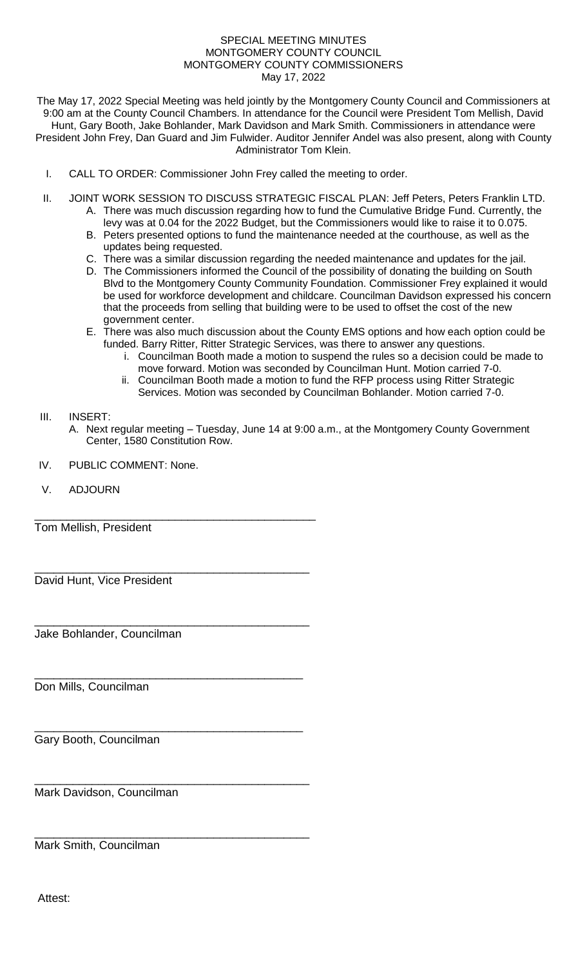## SPECIAL MEETING MINUTES MONTGOMERY COUNTY COUNCIL MONTGOMERY COUNTY COMMISSIONERS May 17, 2022

The May 17, 2022 Special Meeting was held jointly by the Montgomery County Council and Commissioners at 9:00 am at the County Council Chambers. In attendance for the Council were President Tom Mellish, David Hunt, Gary Booth, Jake Bohlander, Mark Davidson and Mark Smith. Commissioners in attendance were President John Frey, Dan Guard and Jim Fulwider. Auditor Jennifer Andel was also present, along with County Administrator Tom Klein.

- I. CALL TO ORDER: Commissioner John Frey called the meeting to order.
- II. JOINT WORK SESSION TO DISCUSS STRATEGIC FISCAL PLAN: Jeff Peters, Peters Franklin LTD.
	- A. There was much discussion regarding how to fund the Cumulative Bridge Fund. Currently, the levy was at 0.04 for the 2022 Budget, but the Commissioners would like to raise it to 0.075.
		- B. Peters presented options to fund the maintenance needed at the courthouse, as well as the updates being requested.
		- C. There was a similar discussion regarding the needed maintenance and updates for the jail.
		- D. The Commissioners informed the Council of the possibility of donating the building on South Blvd to the Montgomery County Community Foundation. Commissioner Frey explained it would be used for workforce development and childcare. Councilman Davidson expressed his concern that the proceeds from selling that building were to be used to offset the cost of the new government center.
		- E. There was also much discussion about the County EMS options and how each option could be funded. Barry Ritter, Ritter Strategic Services, was there to answer any questions.
			- i. Councilman Booth made a motion to suspend the rules so a decision could be made to move forward. Motion was seconded by Councilman Hunt. Motion carried 7-0.
			- ii. Councilman Booth made a motion to fund the RFP process using Ritter Strategic Services. Motion was seconded by Councilman Bohlander. Motion carried 7-0.

## III. INSERT:

- A. Next regular meeting Tuesday, June 14 at 9:00 a.m., at the Montgomery County Government Center, 1580 Constitution Row.
- IV. PUBLIC COMMENT: None.

\_\_\_\_\_\_\_\_\_\_\_\_\_\_\_\_\_\_\_\_\_\_\_\_\_\_\_\_\_\_\_\_\_\_\_\_\_\_\_\_\_\_\_\_

\_\_\_\_\_\_\_\_\_\_\_\_\_\_\_\_\_\_\_\_\_\_\_\_\_\_\_\_\_\_\_\_\_\_\_\_\_\_\_\_\_\_\_

\_\_\_\_\_\_\_\_\_\_\_\_\_\_\_\_\_\_\_\_\_\_\_\_\_\_\_\_\_\_\_\_\_\_\_\_\_\_\_\_\_\_\_

\_\_\_\_\_\_\_\_\_\_\_\_\_\_\_\_\_\_\_\_\_\_\_\_\_\_\_\_\_\_\_\_\_\_\_\_\_\_\_\_\_\_

\_\_\_\_\_\_\_\_\_\_\_\_\_\_\_\_\_\_\_\_\_\_\_\_\_\_\_\_\_\_\_\_\_\_\_\_\_\_\_\_\_\_\_

\_\_\_\_\_\_\_\_\_\_\_\_\_\_\_\_\_\_\_\_\_\_\_\_\_\_\_\_\_\_\_\_\_\_\_\_\_\_\_\_\_\_\_

V. ADJOURN

Tom Mellish, President

David Hunt, Vice President

Jake Bohlander, Councilman

Don Mills, Councilman

\_\_\_\_\_\_\_\_\_\_\_\_\_\_\_\_\_\_\_\_\_\_\_\_\_\_\_\_\_\_\_\_\_\_\_\_\_\_\_\_\_\_ Gary Booth, Councilman

Mark Davidson, Councilman

Mark Smith, Councilman

Attest: